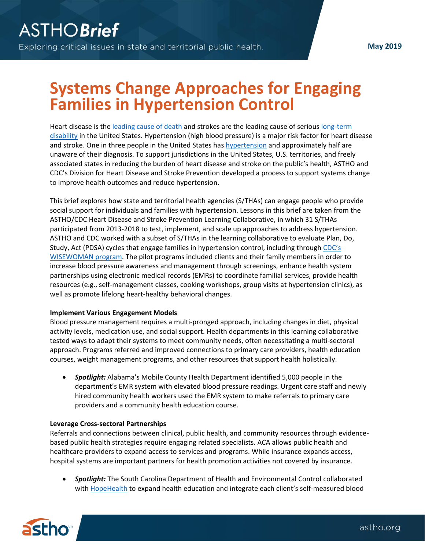# **Systems Change Approaches for Engaging Families in Hypertension Control**

Heart disease is the [leading cause of death](https://www.cdc.gov/heartdisease/facts.htm) and strokes are the leading cause of serious [long-term](https://www.cdc.gov/stroke/facts.htm)  [disability](https://www.cdc.gov/stroke/facts.htm) in the United States. Hypertension (high blood pressure) is a major risk factor for heart disease and stroke. One in three people in the United States has [hypertension](https://www.ncbi.nlm.nih.gov/pubmed/24171916) and approximately half are unaware of their diagnosis. To support jurisdictions in the United States, U.S. territories, and freely associated states in reducing the burden of heart disease and stroke on the public's health, ASTHO and CDC's Division for Heart Disease and Stroke Prevention developed a process to support systems change to improve health outcomes and reduce hypertension.

This brief explores how state and territorial health agencies (S/THAs) can engage people who provide social support for individuals and families with hypertension. Lessons in this brief are taken from the ASTHO/CDC Heart Disease and Stroke Prevention Learning Collaborative, in which 31 S/THAs participated from 2013-2018 to test, implement, and scale up approaches to address hypertension. ASTHO and CDC worked with a subset of S/THAs in the learning collaborative to evaluate Plan, Do, Study, Act (PDSA) cycles that engage families in hypertension control, including through CDC's [WISEWOMAN program.](https://www.cdc.gov/wisewoman/index.htm) The pilot programs included clients and their family members in order to increase blood pressure awareness and management through screenings, enhance health system partnerships using electronic medical records (EMRs) to coordinate familial services, provide health resources (e.g., self-management classes, cooking workshops, group visits at hypertension clinics), as well as promote lifelong heart-healthy behavioral changes.

## **Implement Various Engagement Models**

Blood pressure management requires a multi-pronged approach, including changes in diet, physical activity levels, medication use, and social support. Health departments in this learning collaborative tested ways to adapt their systems to meet community needs, often necessitating a multi-sectoral approach. Programs referred and improved connections to primary care providers, health education courses, weight management programs, and other resources that support health holistically.

• *Spotlight:* Alabama's Mobile County Health Department identified 5,000 people in the department's EMR system with elevated blood pressure readings. Urgent care staff and newly hired community health workers used the EMR system to make referrals to primary care providers and a community health education course.

## **Leverage Cross-sectoral Partnerships**

Referrals and connections between clinical, public health, and community resources through evidencebased public health strategies require engaging related specialists. ACA allows public health and healthcare providers to expand access to services and programs. While insurance expands access, hospital systems are important partners for health promotion activities not covered by insurance.

• *Spotlight:* The South Carolina Department of Health and Environmental Control collaborated with [HopeHealth](https://www.hope-health.org/) to expand health education and integrate each client's self-measured blood